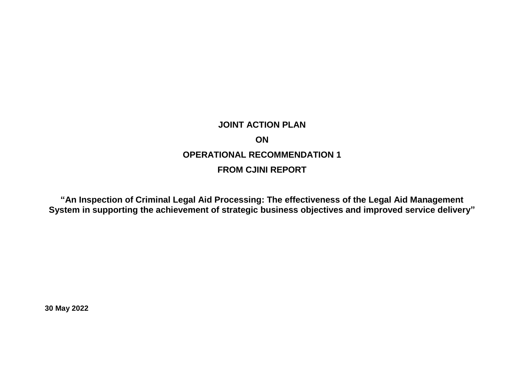## **JOINT ACTION PLAN ON OPERATIONAL RECOMMENDATION 1 FROM CJINI REPORT**

**"An Inspection of Criminal Legal Aid Processing: The effectiveness of the Legal Aid Management System in supporting the achievement of strategic business objectives and improved service delivery"**

**30 May 2022**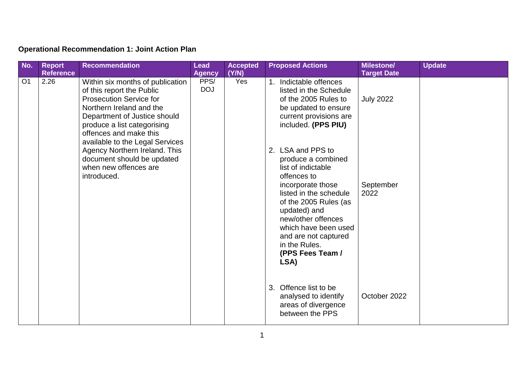## **Operational Recommendation 1: Joint Action Plan**

| No.            | <b>Report</b>    | <b>Recommendation</b>                                                                                                                                                                                                                                                                                                                                          | <b>Lead</b>        | <b>Accepted</b> | <b>Proposed Actions</b>                                                                                                                                                                                                                                                                                                                                                                                                                         | <b>Milestone/</b>                     | <b>Update</b> |
|----------------|------------------|----------------------------------------------------------------------------------------------------------------------------------------------------------------------------------------------------------------------------------------------------------------------------------------------------------------------------------------------------------------|--------------------|-----------------|-------------------------------------------------------------------------------------------------------------------------------------------------------------------------------------------------------------------------------------------------------------------------------------------------------------------------------------------------------------------------------------------------------------------------------------------------|---------------------------------------|---------------|
|                | <b>Reference</b> |                                                                                                                                                                                                                                                                                                                                                                | <b>Agency</b>      | (Y/N)           |                                                                                                                                                                                                                                                                                                                                                                                                                                                 | <b>Target Date</b>                    |               |
| O <sub>1</sub> | 2.26             | Within six months of publication<br>of this report the Public<br><b>Prosecution Service for</b><br>Northern Ireland and the<br>Department of Justice should<br>produce a list categorising<br>offences and make this<br>available to the Legal Services<br>Agency Northern Ireland. This<br>document should be updated<br>when new offences are<br>introduced. | PPS/<br><b>DOJ</b> | Yes             | 1. Indictable offences<br>listed in the Schedule<br>of the 2005 Rules to<br>be updated to ensure<br>current provisions are<br>included. (PPS PIU)<br>LSA and PPS to<br>2.<br>produce a combined<br>list of indictable<br>offences to<br>incorporate those<br>listed in the schedule<br>of the 2005 Rules (as<br>updated) and<br>new/other offences<br>which have been used<br>and are not captured<br>in the Rules.<br>(PPS Fees Team /<br>LSA) | <b>July 2022</b><br>September<br>2022 |               |
|                |                  |                                                                                                                                                                                                                                                                                                                                                                |                    |                 | Offence list to be<br>3.<br>analysed to identify<br>areas of divergence<br>between the PPS                                                                                                                                                                                                                                                                                                                                                      | October 2022                          |               |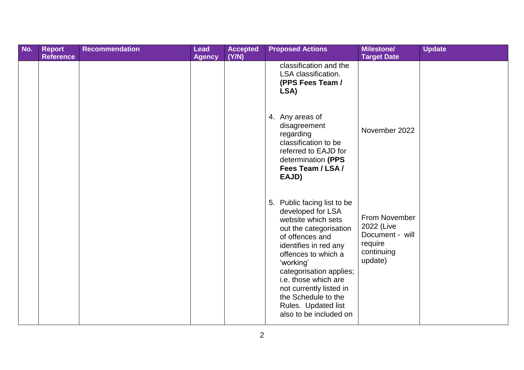| No. | <b>Report</b><br><b>Reference</b> | <b>Recommendation</b> | <b>Lead</b><br><b>Agency</b> | <b>Accepted</b><br>(Y/N) |    | <b>Proposed Actions</b>                                                                                                                                                                                                                                                                                                             | <b>Milestone/</b><br><b>Target Date</b>                                            | <b>Update</b> |
|-----|-----------------------------------|-----------------------|------------------------------|--------------------------|----|-------------------------------------------------------------------------------------------------------------------------------------------------------------------------------------------------------------------------------------------------------------------------------------------------------------------------------------|------------------------------------------------------------------------------------|---------------|
|     |                                   |                       |                              |                          |    | classification and the<br>LSA classification.<br>(PPS Fees Team /<br>LSA)                                                                                                                                                                                                                                                           |                                                                                    |               |
|     |                                   |                       |                              |                          |    | 4. Any areas of<br>disagreement<br>regarding<br>classification to be<br>referred to EAJD for<br>determination (PPS<br>Fees Team / LSA /<br>EAJD)                                                                                                                                                                                    | November 2022                                                                      |               |
|     |                                   |                       |                              |                          | 5. | Public facing list to be<br>developed for LSA<br>website which sets<br>out the categorisation<br>of offences and<br>identifies in red any<br>offences to which a<br>'working'<br>categorisation applies;<br>i.e. those which are<br>not currently listed in<br>the Schedule to the<br>Rules. Updated list<br>also to be included on | From November<br>2022 (Live<br>Document - will<br>require<br>continuing<br>update) |               |